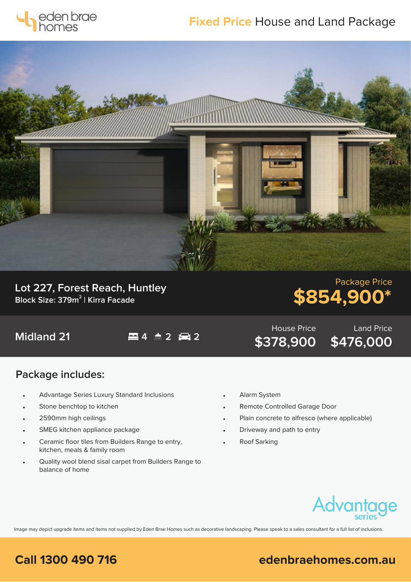

## **Fixed Price** House and Land Package



**Lot 227, Forest Reach, Huntley Block Size: 379m<sup>2</sup> | Kirra Facade**

# Package Price **\$854,900\***

Land Price

**\$476,000**

**Midland 21 4 2 2**

### **Package includes:**

- Advantage Series Luxury Standard Inclusions
- Stone benchtop to kitchen
- 2590mm high ceilings
- SMEG kitchen appliance package
- Ceramic floor tiles from Builders Range to entry, kitchen, meals & family room
- Quality wool blend sisal carpet from Builders Range to balance of home
- Alarm System
- Remote Controlled Garage Door
- Plain concrete to alfresco (where applicable)

House Price

**\$378,900**

- Driveway and path to entry
- Roof Sarking



Image may depict upgrade items and items not supplied by Eden Brae Homes such as decorative landscaping. Please speak to a sales consultant for a full list of inclusions.

### **Call 1300 490 716 edenbraehomes.com.au**